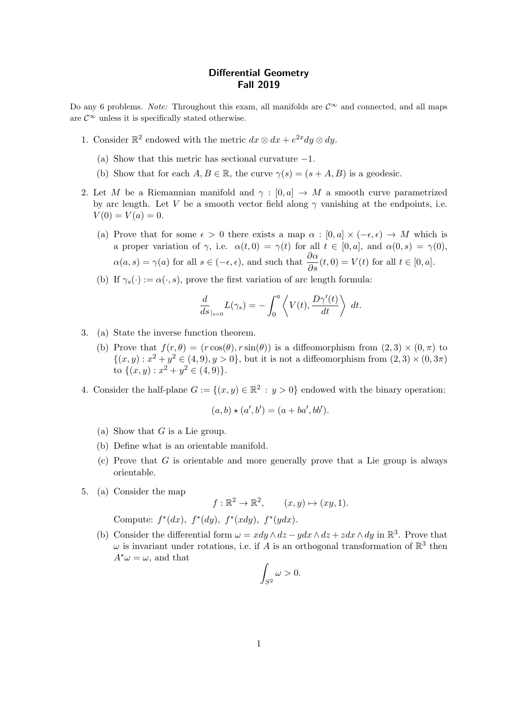## Differential Geometry Fall 2019

Do any 6 problems. Note: Throughout this exam, all manifolds are  $\mathcal{C}^{\infty}$  and connected, and all maps are  $\mathcal{C}^{\infty}$  unless it is specifically stated otherwise.

- 1. Consider  $\mathbb{R}^2$  endowed with the metric  $dx \otimes dx + e^{2x} dy \otimes dy$ .
	- (a) Show that this metric has sectional curvature  $-1$ .
	- (b) Show that for each  $A, B \in \mathbb{R}$ , the curve  $\gamma(s) = (s + A, B)$  is a geodesic.
- 2. Let M be a Riemannian manifold and  $\gamma : [0, a] \rightarrow M$  a smooth curve parametrized by arc length. Let V be a smooth vector field along  $\gamma$  vanishing at the endpoints, i.e.  $V(0) = V(a) = 0.$ 
	- (a) Prove that for some  $\epsilon > 0$  there exists a map  $\alpha : [0, a] \times (-\epsilon, \epsilon) \to M$  which is a proper variation of  $\gamma$ , i.e.  $\alpha(t, 0) = \gamma(t)$  for all  $t \in [0, a]$ , and  $\alpha(0, s) = \gamma(0)$ ,  $\alpha(a, s) = \gamma(a)$  for all  $s \in (-\epsilon, \epsilon)$ , and such that  $\frac{\partial \alpha}{\partial s}(t, 0) = V(t)$  for all  $t \in [0, a]$ .
	- (b) If  $\gamma_s(\cdot) := \alpha(\cdot, s)$ , prove the first variation of arc length formula:

$$
\frac{d}{ds}_{|_{s=0}}L(\gamma_s) = -\int_0^a \left\langle V(t), \frac{D\gamma'(t)}{dt} \right\rangle dt.
$$

- 3. (a) State the inverse function theorem.
	- (b) Prove that  $f(r, \theta) = (r \cos(\theta), r \sin(\theta))$  is a diffeomorphism from  $(2, 3) \times (0, \pi)$  to  $\{(x,y): x^2+y^2 \in (4,9), y>0\}$ , but it is not a diffeomorphism from  $(2,3) \times (0,3\pi)$ to  $\{(x,y): x^2+y^2 \in (4,9)\}.$
- 4. Consider the half-plane  $G := \{(x, y) \in \mathbb{R}^2 : y > 0\}$  endowed with the binary operation:

$$
(a, b) \star (a', b') = (a + ba', bb').
$$

- (a) Show that  $G$  is a Lie group.
- (b) Define what is an orientable manifold.
- (c) Prove that  $G$  is orientable and more generally prove that a Lie group is always orientable.
- 5. (a) Consider the map

 $f: \mathbb{R}^2 \to \mathbb{R}^2$ ,  $(x, y) \mapsto (xy, 1)$ .

Compute:  $f^*(dx)$ ,  $f^*(dy)$ ,  $f^*(xdy)$ ,  $f^*(ydx)$ .

(b) Consider the differential form  $\omega = x dy \wedge dz - y dx \wedge dz + z dx \wedge dy$  in  $\mathbb{R}^3$ . Prove that  $\omega$  is invariant under rotations, i.e. if A is an orthogonal transformation of  $\mathbb{R}^3$  then  $A^*\omega = \omega$ , and that

$$
\int_{S^2} \omega > 0.
$$